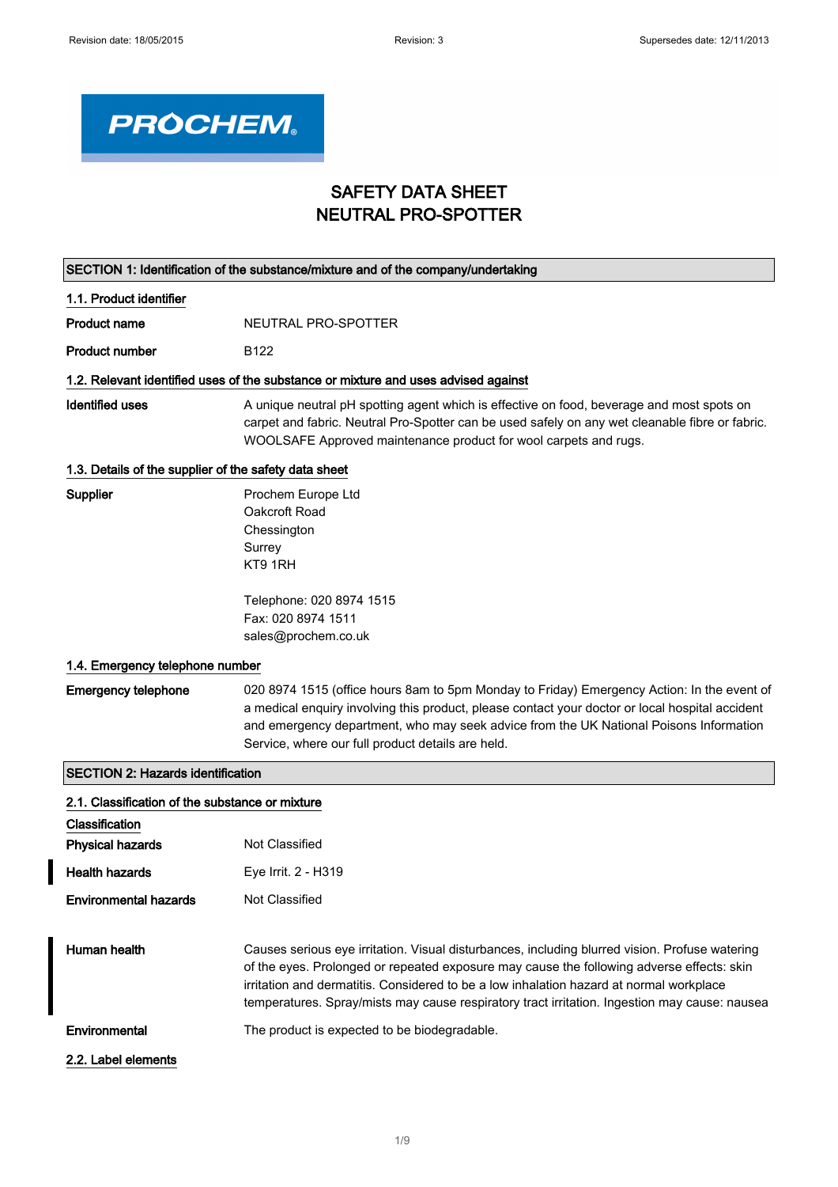٦



## SAFETY DATA SHEET NEUTRAL PRO-SPOTTER

| SECTION 1: Identification of the substance/mixture and of the company/undertaking |                                                                                                                                                                                                                                                                                                                                                                                         |  |  |
|-----------------------------------------------------------------------------------|-----------------------------------------------------------------------------------------------------------------------------------------------------------------------------------------------------------------------------------------------------------------------------------------------------------------------------------------------------------------------------------------|--|--|
| 1.1. Product identifier                                                           |                                                                                                                                                                                                                                                                                                                                                                                         |  |  |
| <b>Product name</b>                                                               | NEUTRAL PRO-SPOTTER                                                                                                                                                                                                                                                                                                                                                                     |  |  |
| <b>Product number</b>                                                             | B <sub>122</sub>                                                                                                                                                                                                                                                                                                                                                                        |  |  |
|                                                                                   | 1.2. Relevant identified uses of the substance or mixture and uses advised against                                                                                                                                                                                                                                                                                                      |  |  |
| <b>Identified uses</b>                                                            | A unique neutral pH spotting agent which is effective on food, beverage and most spots on<br>carpet and fabric. Neutral Pro-Spotter can be used safely on any wet cleanable fibre or fabric.<br>WOOLSAFE Approved maintenance product for wool carpets and rugs.                                                                                                                        |  |  |
| 1.3. Details of the supplier of the safety data sheet                             |                                                                                                                                                                                                                                                                                                                                                                                         |  |  |
| Supplier                                                                          | Prochem Europe Ltd<br>Oakcroft Road<br>Chessington<br>Surrey<br>KT9 1RH                                                                                                                                                                                                                                                                                                                 |  |  |
|                                                                                   | Telephone: 020 8974 1515<br>Fax: 020 8974 1511<br>sales@prochem.co.uk                                                                                                                                                                                                                                                                                                                   |  |  |
| 1.4. Emergency telephone number                                                   |                                                                                                                                                                                                                                                                                                                                                                                         |  |  |
| <b>Emergency telephone</b>                                                        | 020 8974 1515 (office hours 8am to 5pm Monday to Friday) Emergency Action: In the event of<br>a medical enquiry involving this product, please contact your doctor or local hospital accident<br>and emergency department, who may seek advice from the UK National Poisons Information<br>Service, where our full product details are held.                                            |  |  |
| <b>SECTION 2: Hazards identification</b>                                          |                                                                                                                                                                                                                                                                                                                                                                                         |  |  |
| 2.1. Classification of the substance or mixture                                   |                                                                                                                                                                                                                                                                                                                                                                                         |  |  |
| Classification                                                                    |                                                                                                                                                                                                                                                                                                                                                                                         |  |  |
| <b>Physical hazards</b>                                                           | Not Classified                                                                                                                                                                                                                                                                                                                                                                          |  |  |
| <b>Health hazards</b>                                                             | Eye Irrit. 2 - H319                                                                                                                                                                                                                                                                                                                                                                     |  |  |
| <b>Environmental hazards</b>                                                      | Not Classified                                                                                                                                                                                                                                                                                                                                                                          |  |  |
| Human health                                                                      | Causes serious eye irritation. Visual disturbances, including blurred vision. Profuse watering<br>of the eyes. Prolonged or repeated exposure may cause the following adverse effects: skin<br>irritation and dermatitis. Considered to be a low inhalation hazard at normal workplace<br>temperatures. Spray/mists may cause respiratory tract irritation. Ingestion may cause: nausea |  |  |
| Environmental                                                                     | The product is expected to be biodegradable.                                                                                                                                                                                                                                                                                                                                            |  |  |
| 2.2. Label elements                                                               |                                                                                                                                                                                                                                                                                                                                                                                         |  |  |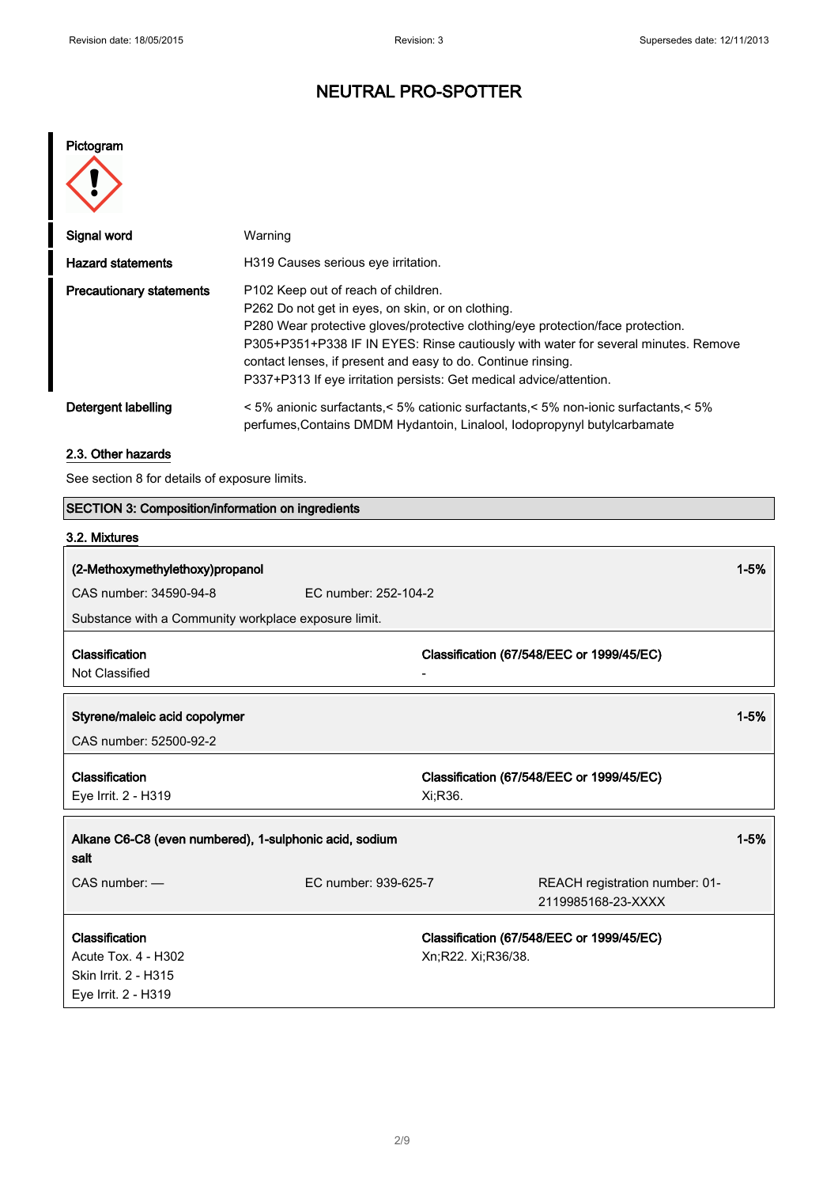# NEUTRAL PRO-SPOTTER

Pictogram

| Signal word                     | Warning                                                                                                                                                                                                                                                                                                                                                                                                  |
|---------------------------------|----------------------------------------------------------------------------------------------------------------------------------------------------------------------------------------------------------------------------------------------------------------------------------------------------------------------------------------------------------------------------------------------------------|
| <b>Hazard statements</b>        | H319 Causes serious eye irritation.                                                                                                                                                                                                                                                                                                                                                                      |
| <b>Precautionary statements</b> | P102 Keep out of reach of children.<br>P262 Do not get in eyes, on skin, or on clothing.<br>P280 Wear protective gloves/protective clothing/eye protection/face protection.<br>P305+P351+P338 IF IN EYES: Rinse cautiously with water for several minutes. Remove<br>contact lenses, if present and easy to do. Continue rinsing.<br>P337+P313 If eye irritation persists: Get medical advice/attention. |
| Detergent labelling             | < 5% anionic surfactants,< 5% cationic surfactants,< 5% non-ionic surfactants,< 5%<br>perfumes, Contains DMDM Hydantoin, Linalool, Iodopropynyl butylcarbamate                                                                                                                                                                                                                                           |

### 2.3. Other hazards

See section 8 for details of exposure limits.

| <b>SECTION 3: Composition/information on ingredients</b> |                      |                    |                                           |          |
|----------------------------------------------------------|----------------------|--------------------|-------------------------------------------|----------|
| 3.2. Mixtures                                            |                      |                    |                                           |          |
| (2-Methoxymethylethoxy)propanol                          |                      |                    |                                           | $1 - 5%$ |
| CAS number: 34590-94-8                                   | EC number: 252-104-2 |                    |                                           |          |
| Substance with a Community workplace exposure limit.     |                      |                    |                                           |          |
|                                                          |                      |                    |                                           |          |
| Classification                                           |                      |                    | Classification (67/548/EEC or 1999/45/EC) |          |
| Not Classified                                           |                      |                    |                                           |          |
|                                                          |                      |                    |                                           |          |
| Styrene/maleic acid copolymer                            |                      |                    |                                           | $1 - 5%$ |
| CAS number: 52500-92-2                                   |                      |                    |                                           |          |
| Classification                                           |                      |                    | Classification (67/548/EEC or 1999/45/EC) |          |
| Eye Irrit. 2 - H319                                      |                      | Xi;R36.            |                                           |          |
| Alkane C6-C8 (even numbered), 1-sulphonic acid, sodium   |                      |                    | $1 - 5%$                                  |          |
| salt                                                     |                      |                    |                                           |          |
| CAS number: -                                            | EC number: 939-625-7 |                    | REACH registration number: 01-            |          |
|                                                          |                      |                    | 2119985168-23-XXXX                        |          |
| Classification                                           |                      |                    | Classification (67/548/EEC or 1999/45/EC) |          |
| Acute Tox. 4 - H302                                      |                      | Xn;R22. Xi;R36/38. |                                           |          |
| Skin Irrit. 2 - H315                                     |                      |                    |                                           |          |
| Eye Irrit. 2 - H319                                      |                      |                    |                                           |          |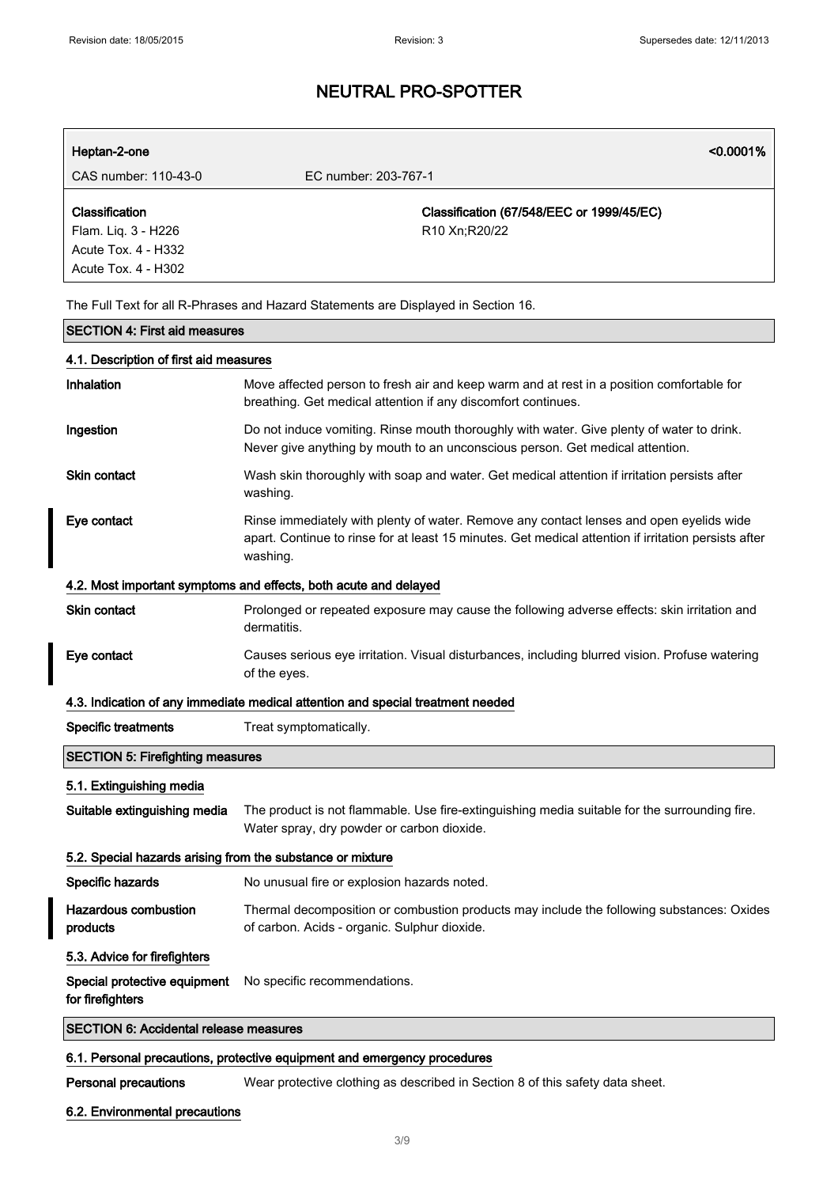| Heptan-2-one                                               | < 0.0001%                                                                                                                                                                                                   |
|------------------------------------------------------------|-------------------------------------------------------------------------------------------------------------------------------------------------------------------------------------------------------------|
| CAS number: 110-43-0                                       | EC number: 203-767-1                                                                                                                                                                                        |
| Classification                                             | Classification (67/548/EEC or 1999/45/EC)                                                                                                                                                                   |
| Flam. Liq. 3 - H226                                        | R10 Xn;R20/22                                                                                                                                                                                               |
| Acute Tox. 4 - H332                                        |                                                                                                                                                                                                             |
| Acute Tox. 4 - H302                                        |                                                                                                                                                                                                             |
|                                                            |                                                                                                                                                                                                             |
|                                                            | The Full Text for all R-Phrases and Hazard Statements are Displayed in Section 16.                                                                                                                          |
| <b>SECTION 4: First aid measures</b>                       |                                                                                                                                                                                                             |
| 4.1. Description of first aid measures                     |                                                                                                                                                                                                             |
| Inhalation                                                 | Move affected person to fresh air and keep warm and at rest in a position comfortable for<br>breathing. Get medical attention if any discomfort continues.                                                  |
| Ingestion                                                  | Do not induce vomiting. Rinse mouth thoroughly with water. Give plenty of water to drink.<br>Never give anything by mouth to an unconscious person. Get medical attention.                                  |
| <b>Skin contact</b>                                        | Wash skin thoroughly with soap and water. Get medical attention if irritation persists after<br>washing.                                                                                                    |
| Eye contact                                                | Rinse immediately with plenty of water. Remove any contact lenses and open eyelids wide<br>apart. Continue to rinse for at least 15 minutes. Get medical attention if irritation persists after<br>washing. |
|                                                            | 4.2. Most important symptoms and effects, both acute and delayed                                                                                                                                            |
| Skin contact                                               | Prolonged or repeated exposure may cause the following adverse effects: skin irritation and<br>dermatitis.                                                                                                  |
| Eye contact                                                | Causes serious eye irritation. Visual disturbances, including blurred vision. Profuse watering<br>of the eyes.                                                                                              |
|                                                            | 4.3. Indication of any immediate medical attention and special treatment needed                                                                                                                             |
| <b>Specific treatments</b>                                 | Treat symptomatically.                                                                                                                                                                                      |
| <b>SECTION 5: Firefighting measures</b>                    |                                                                                                                                                                                                             |
| 5.1. Extinguishing media                                   |                                                                                                                                                                                                             |
| Suitable extinguishing media                               | The product is not flammable. Use fire-extinguishing media suitable for the surrounding fire.<br>Water spray, dry powder or carbon dioxide.                                                                 |
| 5.2. Special hazards arising from the substance or mixture |                                                                                                                                                                                                             |
| Specific hazards                                           | No unusual fire or explosion hazards noted.                                                                                                                                                                 |
| <b>Hazardous combustion</b><br>products                    | Thermal decomposition or combustion products may include the following substances: Oxides<br>of carbon. Acids - organic. Sulphur dioxide.                                                                   |
| 5.3. Advice for firefighters                               |                                                                                                                                                                                                             |
| Special protective equipment<br>for firefighters           | No specific recommendations.                                                                                                                                                                                |
| <b>SECTION 6: Accidental release measures</b>              |                                                                                                                                                                                                             |

### 6.1. Personal precautions, protective equipment and emergency procedures

Personal precautions Wear protective clothing as described in Section 8 of this safety data sheet.

6.2. Environmental precautions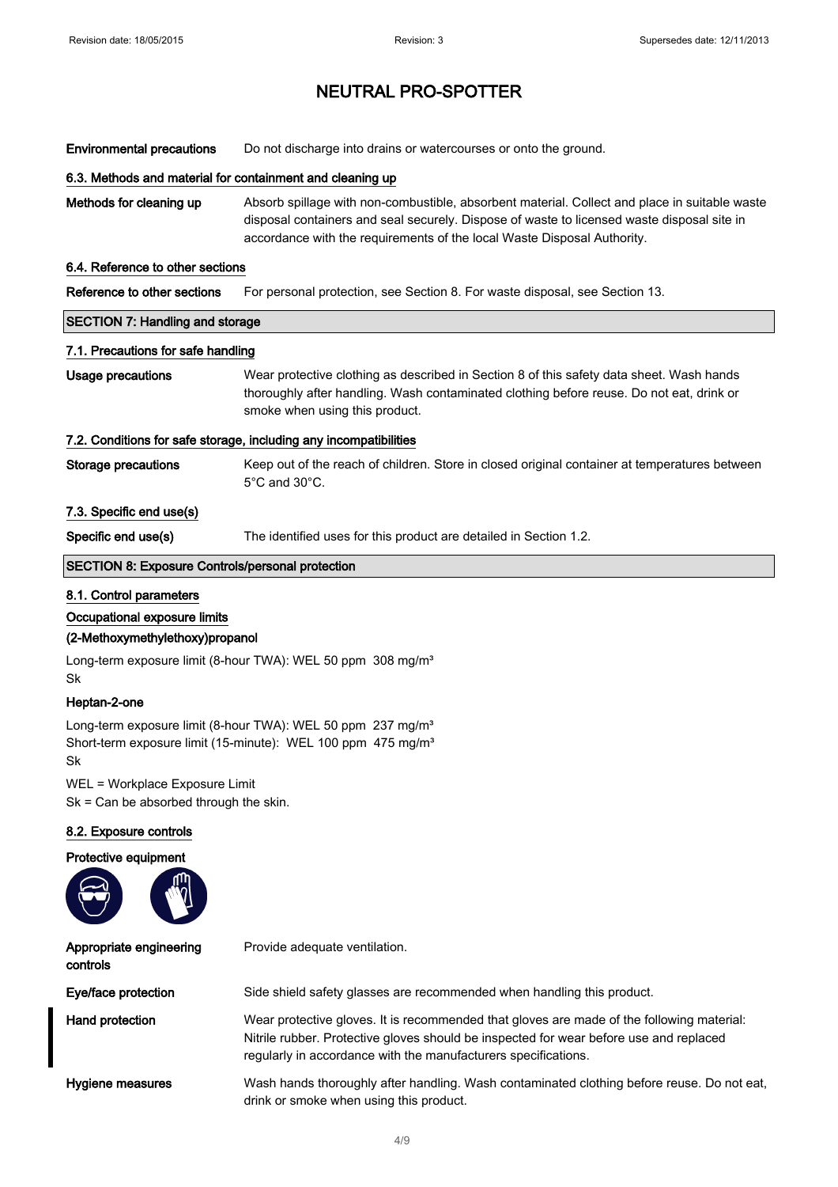Environmental precautions Do not discharge into drains or watercourses or onto the ground.

#### 6.3. Methods and material for containment and cleaning up

Methods for cleaning up Absorb spillage with non-combustible, absorbent material. Collect and place in suitable waste disposal containers and seal securely. Dispose of waste to licensed waste disposal site in accordance with the requirements of the local Waste Disposal Authority.

#### 6.4. Reference to other sections

Reference to other sections For personal protection, see Section 8. For waste disposal, see Section 13.

# SECTION 7: Handling and storage 7.1. Precautions for safe handling Usage precautions Wear protective clothing as described in Section 8 of this safety data sheet. Wash hands thoroughly after handling. Wash contaminated clothing before reuse. Do not eat, drink or smoke when using this product. 7.2. Conditions for safe storage, including any incompatibilities Storage precautions Keep out of the reach of children. Store in closed original container at temperatures between 5°C and 30°C. 7.3. Specific end use(s)

Specific end use(s) The identified uses for this product are detailed in Section 1.2.

#### SECTION 8: Exposure Controls/personal protection

#### 8.1. Control parameters

#### Occupational exposure limits

#### (2-Methoxymethylethoxy)propanol

Long-term exposure limit (8-hour TWA): WEL 50 ppm 308 mg/m<sup>3</sup> Sk

#### Heptan-2-one

Long-term exposure limit (8-hour TWA): WEL 50 ppm 237 mg/m<sup>3</sup> Short-term exposure limit (15-minute): WEL 100 ppm 475 mg/m<sup>3</sup> Sk

WEL = Workplace Exposure Limit

Sk = Can be absorbed through the skin.

#### 8.2. Exposure controls

#### Protective equipment

| ה<br>щ |
|--------|
|        |

| Appropriate engineering<br>controls | Provide adequate ventilation.                                                                                                                                                                                                                         |
|-------------------------------------|-------------------------------------------------------------------------------------------------------------------------------------------------------------------------------------------------------------------------------------------------------|
| Eye/face protection                 | Side shield safety glasses are recommended when handling this product.                                                                                                                                                                                |
| Hand protection                     | Wear protective gloves. It is recommended that gloves are made of the following material:<br>Nitrile rubber. Protective gloves should be inspected for wear before use and replaced<br>regularly in accordance with the manufacturers specifications. |
| Hygiene measures                    | Wash hands thoroughly after handling. Wash contaminated clothing before reuse. Do not eat,<br>drink or smoke when using this product.                                                                                                                 |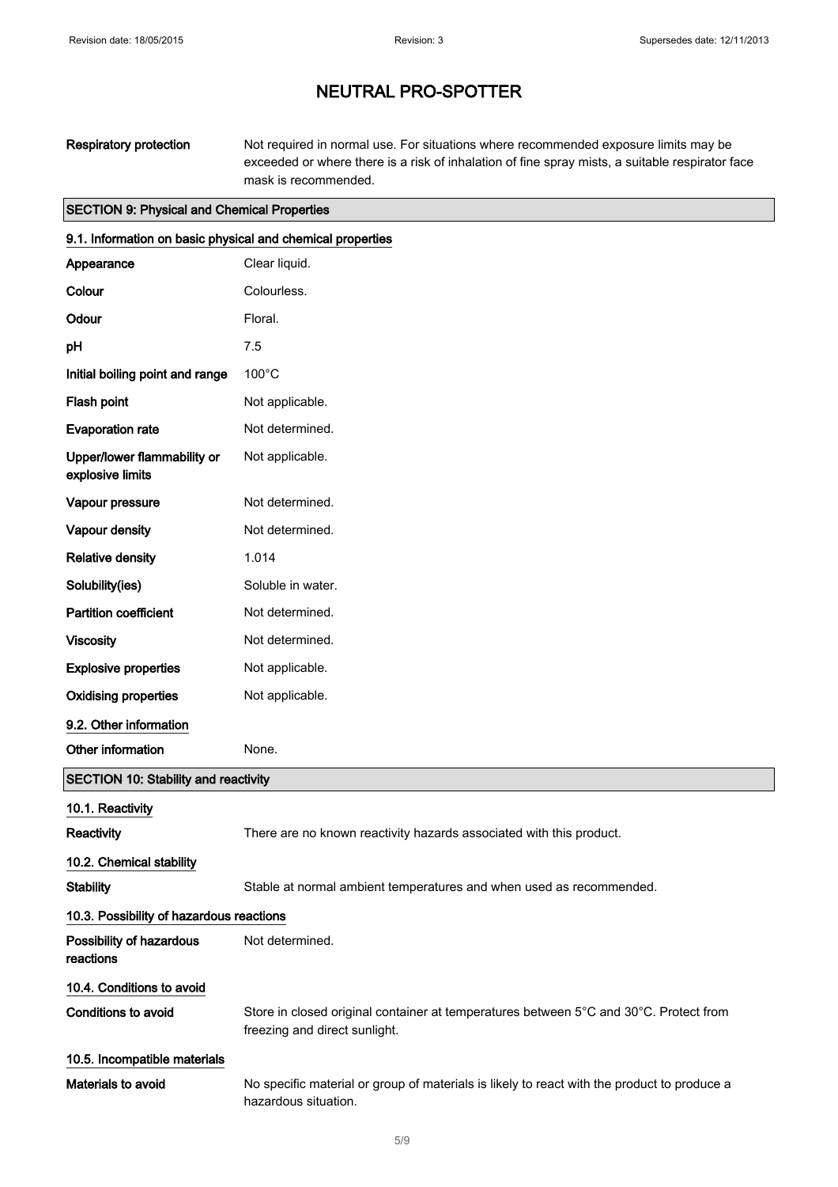Respiratory protection Not required in normal use. For situations where recommended exposure limits may be exceeded or where there is a risk of inhalation of fine spray mists, a suitable respirator face mask is recommended.

## SECTION 9: Physical and Chemical Properties

| 9.1. Information on basic physical and chemical properties |                                                                                                                        |  |
|------------------------------------------------------------|------------------------------------------------------------------------------------------------------------------------|--|
| Appearance                                                 | Clear liquid.                                                                                                          |  |
| Colour                                                     | Colourless.                                                                                                            |  |
| Odour                                                      | Floral.                                                                                                                |  |
| pH                                                         | 7.5                                                                                                                    |  |
| Initial boiling point and range                            | $100^{\circ}$ C                                                                                                        |  |
| Flash point                                                | Not applicable.                                                                                                        |  |
| <b>Evaporation rate</b>                                    | Not determined.                                                                                                        |  |
| Upper/lower flammability or<br>explosive limits            | Not applicable.                                                                                                        |  |
| Vapour pressure                                            | Not determined.                                                                                                        |  |
| <b>Vapour density</b>                                      | Not determined.                                                                                                        |  |
| <b>Relative density</b>                                    | 1.014                                                                                                                  |  |
| Solubility(ies)                                            | Soluble in water.                                                                                                      |  |
| <b>Partition coefficient</b>                               | Not determined.                                                                                                        |  |
| <b>Viscosity</b>                                           | Not determined.                                                                                                        |  |
| <b>Explosive properties</b>                                | Not applicable.                                                                                                        |  |
| <b>Oxidising properties</b>                                | Not applicable.                                                                                                        |  |
| 9.2. Other information                                     |                                                                                                                        |  |
| Other information                                          | None.                                                                                                                  |  |
| <b>SECTION 10: Stability and reactivity</b>                |                                                                                                                        |  |
| 10.1. Reactivity                                           |                                                                                                                        |  |
| Reactivity                                                 | There are no known reactivity hazards associated with this product.                                                    |  |
| 10.2. Chemical stability                                   |                                                                                                                        |  |
| <b>Stability</b>                                           | Stable at normal ambient temperatures and when used as recommended.                                                    |  |
| 10.3. Possibility of hazardous reactions                   |                                                                                                                        |  |
| Possibility of hazardous<br>reactions                      | Not determined.                                                                                                        |  |
| 10.4. Conditions to avoid                                  |                                                                                                                        |  |
| <b>Conditions to avoid</b>                                 | Store in closed original container at temperatures between 5°C and 30°C. Protect from<br>freezing and direct sunlight. |  |
| 10.5. Incompatible materials                               |                                                                                                                        |  |
| Materials to avoid                                         | No specific material or group of materials is likely to react with the product to produce a<br>hazardous situation.    |  |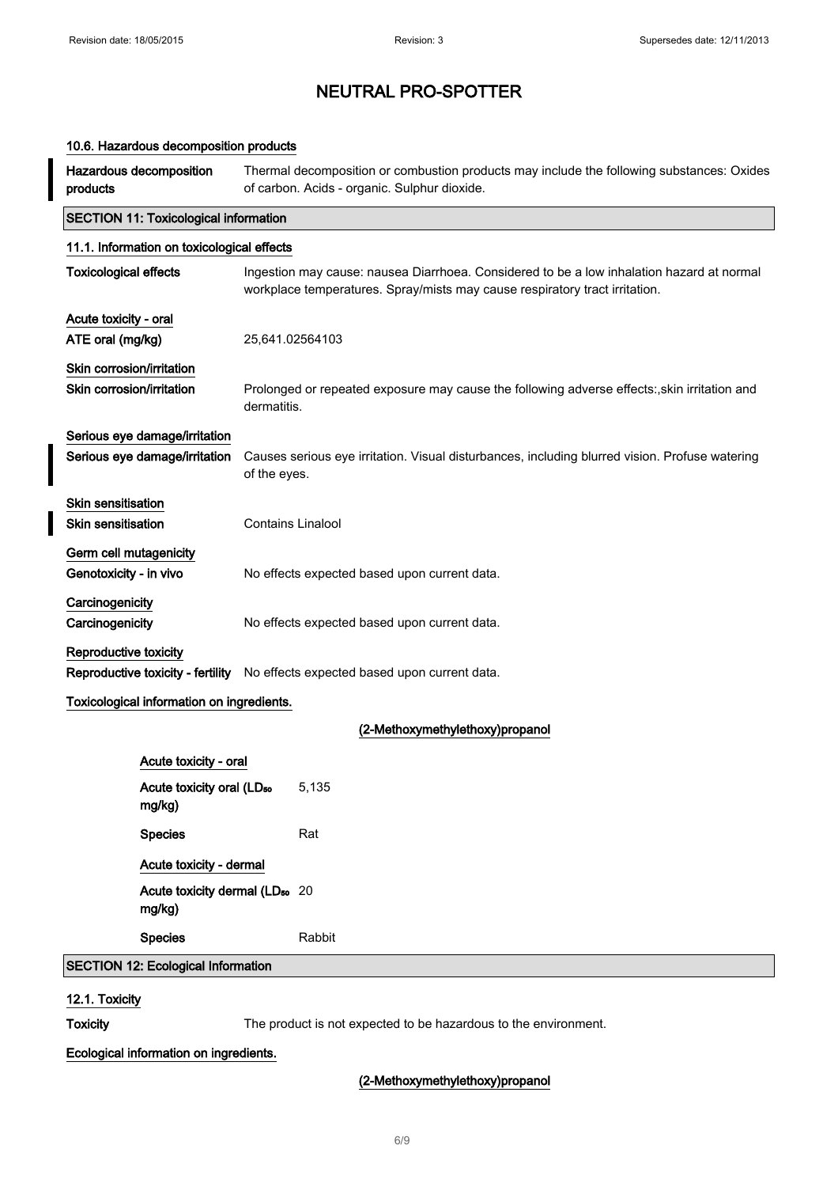| 10.6. Hazardous decomposition products                 |                                                                                                         |                                                                                                                                           |                                                                                                                                                                          |  |
|--------------------------------------------------------|---------------------------------------------------------------------------------------------------------|-------------------------------------------------------------------------------------------------------------------------------------------|--------------------------------------------------------------------------------------------------------------------------------------------------------------------------|--|
| products                                               | Hazardous decomposition                                                                                 | Thermal decomposition or combustion products may include the following substances: Oxides<br>of carbon. Acids - organic. Sulphur dioxide. |                                                                                                                                                                          |  |
|                                                        | <b>SECTION 11: Toxicological information</b>                                                            |                                                                                                                                           |                                                                                                                                                                          |  |
|                                                        | 11.1. Information on toxicological effects                                                              |                                                                                                                                           |                                                                                                                                                                          |  |
| <b>Toxicological effects</b>                           |                                                                                                         |                                                                                                                                           | Ingestion may cause: nausea Diarrhoea. Considered to be a low inhalation hazard at normal<br>workplace temperatures. Spray/mists may cause respiratory tract irritation. |  |
| Acute toxicity - oral                                  |                                                                                                         |                                                                                                                                           |                                                                                                                                                                          |  |
| ATE oral (mg/kg)                                       |                                                                                                         | 25,641.02564103                                                                                                                           |                                                                                                                                                                          |  |
| Skin corrosion/irritation<br>Skin corrosion/irritation |                                                                                                         | Prolonged or repeated exposure may cause the following adverse effects:, skin irritation and<br>dermatitis.                               |                                                                                                                                                                          |  |
|                                                        | Serious eye damage/irritation<br>Serious eye damage/irritation                                          | Causes serious eye irritation. Visual disturbances, including blurred vision. Profuse watering<br>of the eyes.                            |                                                                                                                                                                          |  |
| <b>Skin sensitisation</b><br><b>Skin sensitisation</b> |                                                                                                         | <b>Contains Linalool</b>                                                                                                                  |                                                                                                                                                                          |  |
| Germ cell mutagenicity<br>Genotoxicity - in vivo       |                                                                                                         | No effects expected based upon current data.                                                                                              |                                                                                                                                                                          |  |
| Carcinogenicity<br>Carcinogenicity                     |                                                                                                         | No effects expected based upon current data.                                                                                              |                                                                                                                                                                          |  |
|                                                        | Reproductive toxicity<br>Reproductive toxicity - fertility No effects expected based upon current data. |                                                                                                                                           |                                                                                                                                                                          |  |
|                                                        | Toxicological information on ingredients.                                                               |                                                                                                                                           |                                                                                                                                                                          |  |
|                                                        |                                                                                                         |                                                                                                                                           | (2-Methoxymethylethoxy)propanol                                                                                                                                          |  |
|                                                        | Acute toxicity - oral                                                                                   |                                                                                                                                           |                                                                                                                                                                          |  |
|                                                        | Acute toxicity oral (LD <sub>50</sub><br>mg/kg)                                                         |                                                                                                                                           | 5,135                                                                                                                                                                    |  |
|                                                        | <b>Species</b>                                                                                          |                                                                                                                                           | Rat                                                                                                                                                                      |  |
|                                                        | Acute toxicity - dermal                                                                                 |                                                                                                                                           |                                                                                                                                                                          |  |
|                                                        | Acute toxicity dermal (LD <sub>50</sub> 20<br>mg/kg)                                                    |                                                                                                                                           |                                                                                                                                                                          |  |
|                                                        | <b>Species</b>                                                                                          |                                                                                                                                           | Rabbit                                                                                                                                                                   |  |
|                                                        | <b>SECTION 12: Ecological Information</b>                                                               |                                                                                                                                           |                                                                                                                                                                          |  |
|                                                        |                                                                                                         |                                                                                                                                           |                                                                                                                                                                          |  |

## 12.1. Toxicity

Toxicity The product is not expected to be hazardous to the environment.

## Ecological information on ingredients.

## (2-Methoxymethylethoxy)propanol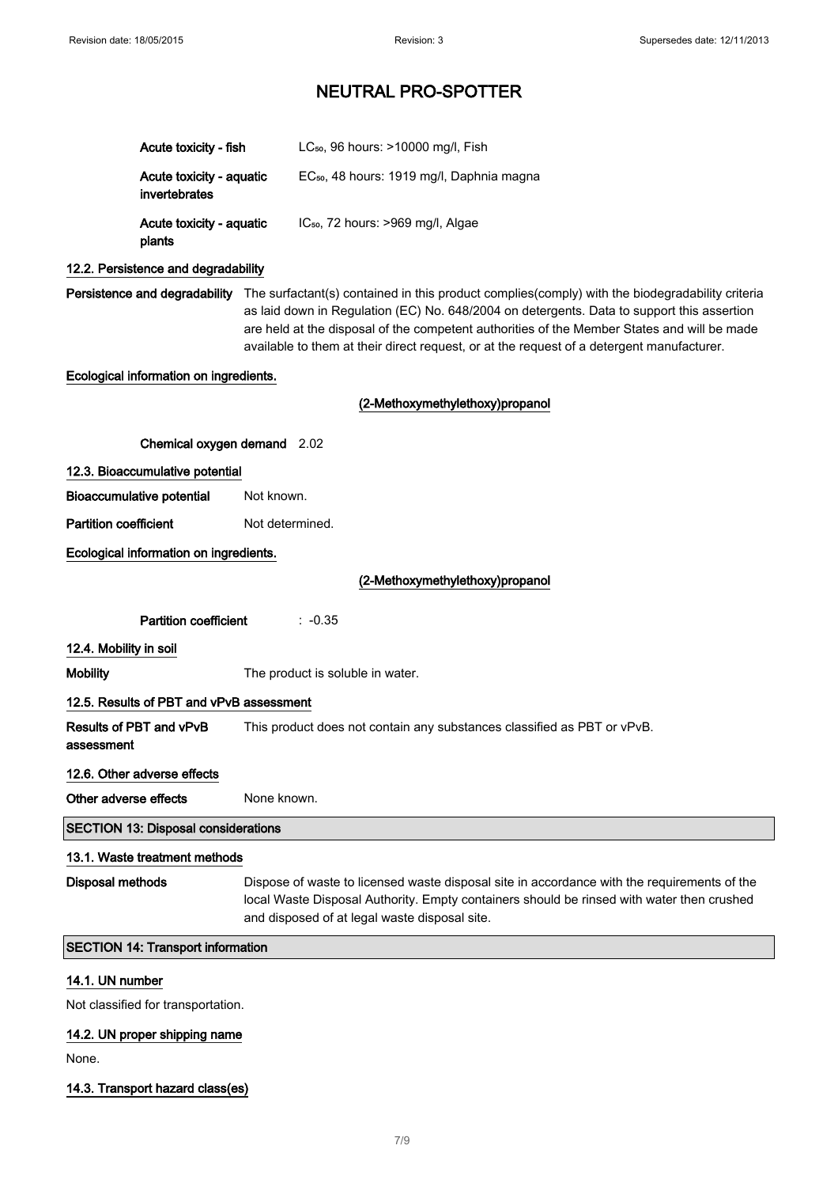|                                        | Acute toxicity - fish                      |                                                                                                                                                                                                                                           | LC <sub>50</sub> , 96 hours: >10000 mg/l, Fish                                                                                                                                                                                                                                                                                                                                            |
|----------------------------------------|--------------------------------------------|-------------------------------------------------------------------------------------------------------------------------------------------------------------------------------------------------------------------------------------------|-------------------------------------------------------------------------------------------------------------------------------------------------------------------------------------------------------------------------------------------------------------------------------------------------------------------------------------------------------------------------------------------|
|                                        | Acute toxicity - aquatic<br>invertebrates  |                                                                                                                                                                                                                                           | EC <sub>50</sub> , 48 hours: 1919 mg/l, Daphnia magna                                                                                                                                                                                                                                                                                                                                     |
|                                        | Acute toxicity - aquatic<br>plants         |                                                                                                                                                                                                                                           | IC <sub>50</sub> , 72 hours: >969 mg/l, Algae                                                                                                                                                                                                                                                                                                                                             |
|                                        | 12.2. Persistence and degradability        |                                                                                                                                                                                                                                           |                                                                                                                                                                                                                                                                                                                                                                                           |
| Persistence and degradability          |                                            |                                                                                                                                                                                                                                           | The surfactant(s) contained in this product complies(comply) with the biodegradability criteria<br>as laid down in Regulation (EC) No. 648/2004 on detergents. Data to support this assertion<br>are held at the disposal of the competent authorities of the Member States and will be made<br>available to them at their direct request, or at the request of a detergent manufacturer. |
|                                        | Ecological information on ingredients.     |                                                                                                                                                                                                                                           |                                                                                                                                                                                                                                                                                                                                                                                           |
|                                        |                                            |                                                                                                                                                                                                                                           | (2-Methoxymethylethoxy)propanol                                                                                                                                                                                                                                                                                                                                                           |
|                                        | Chemical oxygen demand 2.02                |                                                                                                                                                                                                                                           |                                                                                                                                                                                                                                                                                                                                                                                           |
|                                        | 12.3. Bioaccumulative potential            |                                                                                                                                                                                                                                           |                                                                                                                                                                                                                                                                                                                                                                                           |
|                                        | <b>Bioaccumulative potential</b>           | Not known.                                                                                                                                                                                                                                |                                                                                                                                                                                                                                                                                                                                                                                           |
| <b>Partition coefficient</b>           |                                            | Not determined.                                                                                                                                                                                                                           |                                                                                                                                                                                                                                                                                                                                                                                           |
| Ecological information on ingredients. |                                            |                                                                                                                                                                                                                                           |                                                                                                                                                                                                                                                                                                                                                                                           |
| (2-Methoxymethylethoxy)propanol        |                                            |                                                                                                                                                                                                                                           |                                                                                                                                                                                                                                                                                                                                                                                           |
|                                        | <b>Partition coefficient</b>               |                                                                                                                                                                                                                                           | $: -0.35$                                                                                                                                                                                                                                                                                                                                                                                 |
| 12.4. Mobility in soil                 |                                            |                                                                                                                                                                                                                                           |                                                                                                                                                                                                                                                                                                                                                                                           |
| <b>Mobility</b>                        |                                            | The product is soluble in water.                                                                                                                                                                                                          |                                                                                                                                                                                                                                                                                                                                                                                           |
|                                        | 12.5. Results of PBT and vPvB assessment   |                                                                                                                                                                                                                                           |                                                                                                                                                                                                                                                                                                                                                                                           |
| assessment                             | Results of PBT and vPvB                    | This product does not contain any substances classified as PBT or vPvB.                                                                                                                                                                   |                                                                                                                                                                                                                                                                                                                                                                                           |
|                                        | 12.6. Other adverse effects                |                                                                                                                                                                                                                                           |                                                                                                                                                                                                                                                                                                                                                                                           |
| Other adverse effects                  |                                            | None known.                                                                                                                                                                                                                               |                                                                                                                                                                                                                                                                                                                                                                                           |
|                                        | <b>SECTION 13: Disposal considerations</b> |                                                                                                                                                                                                                                           |                                                                                                                                                                                                                                                                                                                                                                                           |
|                                        | 13.1. Waste treatment methods              |                                                                                                                                                                                                                                           |                                                                                                                                                                                                                                                                                                                                                                                           |
| <b>Disposal methods</b>                |                                            | Dispose of waste to licensed waste disposal site in accordance with the requirements of the<br>local Waste Disposal Authority. Empty containers should be rinsed with water then crushed<br>and disposed of at legal waste disposal site. |                                                                                                                                                                                                                                                                                                                                                                                           |
|                                        | <b>SECTION 14: Transport information</b>   |                                                                                                                                                                                                                                           |                                                                                                                                                                                                                                                                                                                                                                                           |
| 14.1. UN number                        |                                            |                                                                                                                                                                                                                                           |                                                                                                                                                                                                                                                                                                                                                                                           |
|                                        |                                            |                                                                                                                                                                                                                                           |                                                                                                                                                                                                                                                                                                                                                                                           |

Not classified for transportation.

## 14.2. UN proper shipping name

None.

14.3. Transport hazard class(es)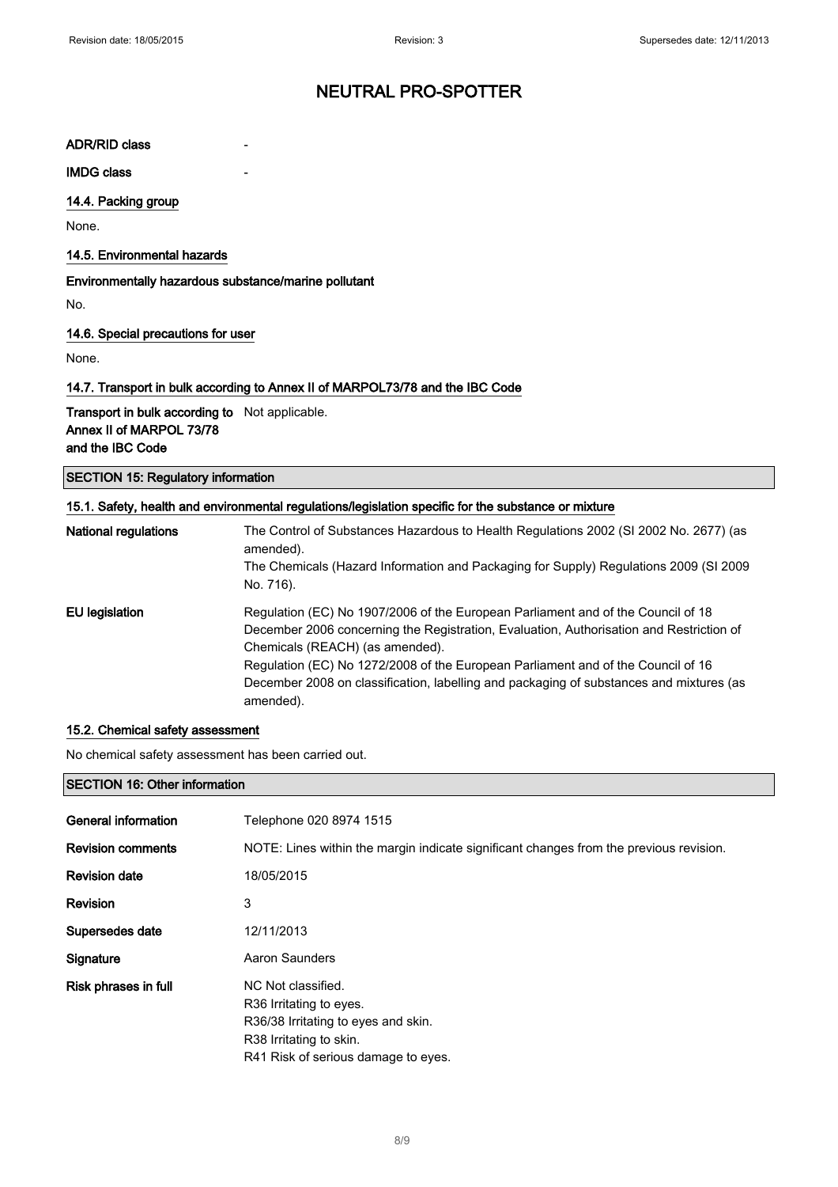#### ADR/RID class

**IMDG class** 

### 14.4. Packing group

None.

## 14.5. Environmental hazards

#### Environmentally hazardous substance/marine pollutant

No.

#### 14.6. Special precautions for user

None.

## 14.7. Transport in bulk according to Annex II of MARPOL73/78 and the IBC Code

Transport in bulk according to Not applicable. Annex II of MARPOL 73/78 and the IBC Code

### SECTION 15: Regulatory information

| 15.1. Safety, health and environmental regulations/legislation specific for the substance or mixture |                                                                                                                                                                                                                                                                                                                                                                                                            |  |  |
|------------------------------------------------------------------------------------------------------|------------------------------------------------------------------------------------------------------------------------------------------------------------------------------------------------------------------------------------------------------------------------------------------------------------------------------------------------------------------------------------------------------------|--|--|
| <b>National regulations</b>                                                                          | The Control of Substances Hazardous to Health Regulations 2002 (SI 2002 No. 2677) (as<br>amended).                                                                                                                                                                                                                                                                                                         |  |  |
|                                                                                                      | The Chemicals (Hazard Information and Packaging for Supply) Regulations 2009 (SI 2009<br>No. 716).                                                                                                                                                                                                                                                                                                         |  |  |
| EU legislation                                                                                       | Regulation (EC) No 1907/2006 of the European Parliament and of the Council of 18<br>December 2006 concerning the Registration, Evaluation, Authorisation and Restriction of<br>Chemicals (REACH) (as amended).<br>Regulation (EC) No 1272/2008 of the European Parliament and of the Council of 16<br>December 2008 on classification, labelling and packaging of substances and mixtures (as<br>amended). |  |  |

#### 15.2. Chemical safety assessment

No chemical safety assessment has been carried out.

### SECTION 16: Other information

| General information      | Telephone 020 8974 1515                                                                |  |
|--------------------------|----------------------------------------------------------------------------------------|--|
| <b>Revision comments</b> | NOTE: Lines within the margin indicate significant changes from the previous revision. |  |
| <b>Revision date</b>     | 18/05/2015                                                                             |  |
| <b>Revision</b>          | 3                                                                                      |  |
| Supersedes date          | 12/11/2013                                                                             |  |
| Signature                | Aaron Saunders                                                                         |  |
| Risk phrases in full     | NC Not classified.                                                                     |  |
|                          | R36 Irritating to eyes.                                                                |  |
|                          | R36/38 Irritating to eyes and skin.                                                    |  |
|                          | R38 Irritating to skin.                                                                |  |
|                          | R41 Risk of serious damage to eyes.                                                    |  |